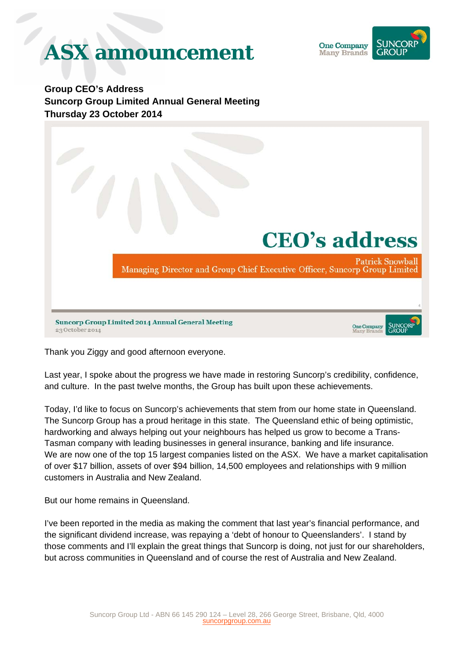



#### **Group CEO's Address Suncorp Group Limited Annual General Meeting Thursday 23 October 2014**



Thank you Ziggy and good afternoon everyone.

Last year, I spoke about the progress we have made in restoring Suncorp's credibility, confidence, and culture. In the past twelve months, the Group has built upon these achievements.

Today, I'd like to focus on Suncorp's achievements that stem from our home state in Queensland. The Suncorp Group has a proud heritage in this state. The Queensland ethic of being optimistic, hardworking and always helping out your neighbours has helped us grow to become a Trans-Tasman company with leading businesses in general insurance, banking and life insurance. We are now one of the top 15 largest companies listed on the ASX. We have a market capitalisation of over \$17 billion, assets of over \$94 billion, 14,500 employees and relationships with 9 million customers in Australia and New Zealand.

But our home remains in Queensland.

I've been reported in the media as making the comment that last year's financial performance, and the significant dividend increase, was repaying a 'debt of honour to Queenslanders'. I stand by those comments and I'll explain the great things that Suncorp is doing, not just for our shareholders, but across communities in Queensland and of course the rest of Australia and New Zealand.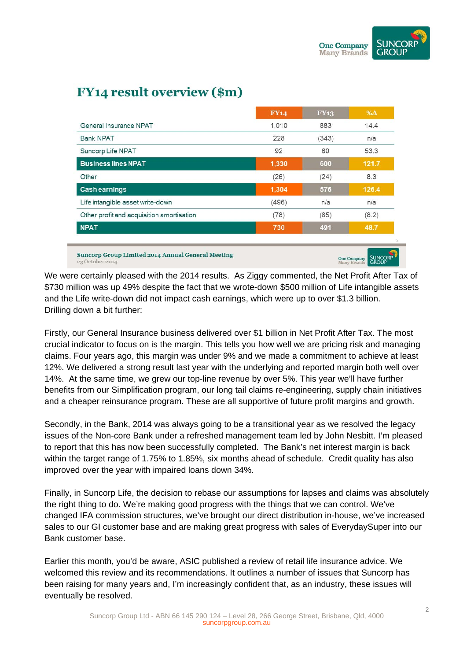|                                                                      | <b>FY14</b> | <b>FY13</b> | $96\Delta$                                                          |
|----------------------------------------------------------------------|-------------|-------------|---------------------------------------------------------------------|
| General Insurance NPAT                                               | 1,010       | 883         | 14.4                                                                |
| <b>Bank NPAT</b>                                                     | 228         | (343)       | n/a                                                                 |
| Suncorp Life NPAT                                                    | 92          | 60          | 53.3                                                                |
| <b>Business lines NPAT</b>                                           | 1,330       | 600         | 121.7                                                               |
| Other                                                                | (26)        | (24)        | 8.3                                                                 |
| <b>Cash earnings</b>                                                 | 1.304       | 576         | 126.4                                                               |
| Life intangible asset write-down                                     | (496)       | n/a         | n/a                                                                 |
| Other profit and acquisition amortisation                            | (78)        | (85)        | (8.2)                                                               |
| <b>NPAT</b>                                                          | 730         | 491         | 48.7                                                                |
|                                                                      |             |             |                                                                     |
| Suncorp Group Limited 2014 Annual General Meeting<br>23 October 2014 |             |             | <b>SUNCORP</b><br><b>One Company</b><br><b>GROUP</b><br>Many Brands |

## **FY14 result overview (\$m)**

We were certainly pleased with the 2014 results. As Ziggy commented, the Net Profit After Tax of \$730 million was up 49% despite the fact that we wrote-down \$500 million of Life intangible assets and the Life write-down did not impact cash earnings, which were up to over \$1.3 billion. Drilling down a bit further:

Firstly, our General Insurance business delivered over \$1 billion in Net Profit After Tax. The most crucial indicator to focus on is the margin. This tells you how well we are pricing risk and managing claims. Four years ago, this margin was under 9% and we made a commitment to achieve at least 12%. We delivered a strong result last year with the underlying and reported margin both well over 14%. At the same time, we grew our top-line revenue by over 5%. This year we'll have further benefits from our Simplification program, our long tail claims re-engineering, supply chain initiatives and a cheaper reinsurance program. These are all supportive of future profit margins and growth.

Secondly, in the Bank, 2014 was always going to be a transitional year as we resolved the legacy issues of the Non-core Bank under a refreshed management team led by John Nesbitt. I'm pleased to report that this has now been successfully completed. The Bank's net interest margin is back within the target range of 1.75% to 1.85%, six months ahead of schedule. Credit quality has also improved over the year with impaired loans down 34%.

Finally, in Suncorp Life, the decision to rebase our assumptions for lapses and claims was absolutely the right thing to do. We're making good progress with the things that we can control. We've changed IFA commission structures, we've brought our direct distribution in-house, we've increased sales to our GI customer base and are making great progress with sales of EverydaySuper into our Bank customer base.

Earlier this month, you'd be aware, ASIC published a review of retail life insurance advice. We welcomed this review and its recommendations. It outlines a number of issues that Suncorp has been raising for many years and, I'm increasingly confident that, as an industry, these issues will eventually be resolved.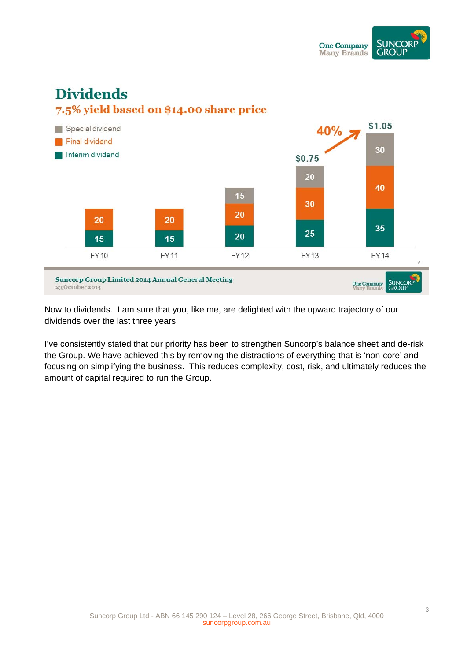

# **Dividends**



Now to dividends. I am sure that you, like me, are delighted with the upward trajectory of our dividends over the last three years.

I've consistently stated that our priority has been to strengthen Suncorp's balance sheet and de-risk the Group. We have achieved this by removing the distractions of everything that is 'non-core' and focusing on simplifying the business. This reduces complexity, cost, risk, and ultimately reduces the amount of capital required to run the Group.

3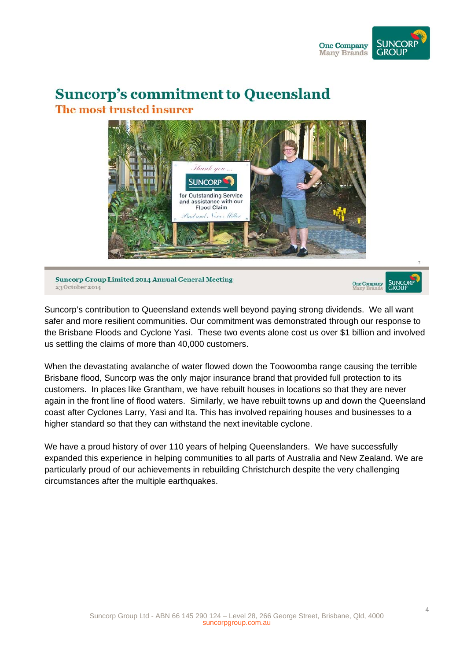

SUNCORP

**One Company** 

### **Suncorp's commitment to Queensland** The most trusted insurer



**Suncorp Group Limited 2014 Annual General Meeting** 23 October 2014

Suncorp's contribution to Queensland extends well beyond paying strong dividends. We all want safer and more resilient communities. Our commitment was demonstrated through our response to the Brisbane Floods and Cyclone Yasi. These two events alone cost us over \$1 billion and involved us settling the claims of more than 40,000 customers.

When the devastating avalanche of water flowed down the Toowoomba range causing the terrible Brisbane flood, Suncorp was the only major insurance brand that provided full protection to its customers. In places like Grantham, we have rebuilt houses in locations so that they are never again in the front line of flood waters. Similarly, we have rebuilt towns up and down the Queensland coast after Cyclones Larry, Yasi and Ita. This has involved repairing houses and businesses to a higher standard so that they can withstand the next inevitable cyclone.

We have a proud history of over 110 years of helping Queenslanders. We have successfully expanded this experience in helping communities to all parts of Australia and New Zealand. We are particularly proud of our achievements in rebuilding Christchurch despite the very challenging circumstances after the multiple earthquakes.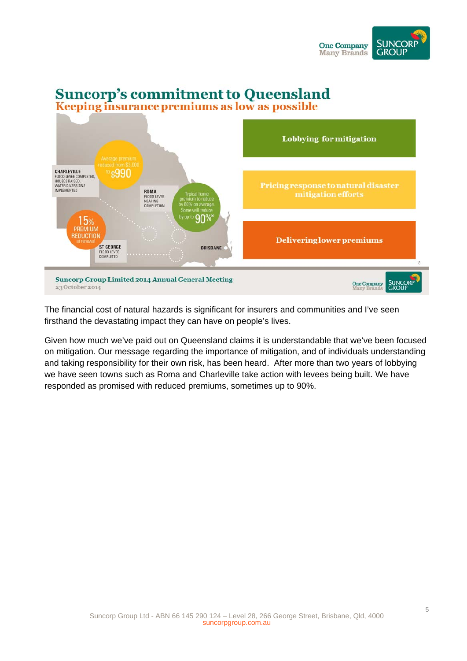

#### **Suncorp's commitment to Queensland** Keeping insurance premiums as low as possible



The financial cost of natural hazards is significant for insurers and communities and I've seen firsthand the devastating impact they can have on people's lives.

Given how much we've paid out on Queensland claims it is understandable that we've been focused on mitigation. Our message regarding the importance of mitigation, and of individuals understanding and taking responsibility for their own risk, has been heard. After more than two years of lobbying we have seen towns such as Roma and Charleville take action with levees being built. We have responded as promised with reduced premiums, sometimes up to 90%.

5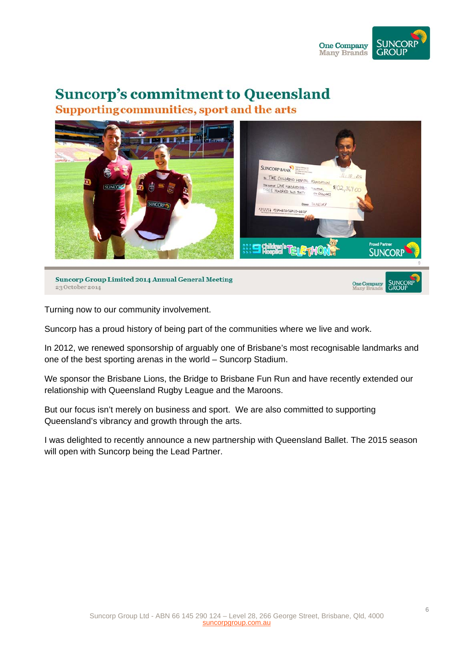

SUNCORP

**One Company** 

### **Suncorp's commitment to Queensland** Supporting communities, sport and the arts



**Suncorp Group Limited 2014 Annual General Meeting** 23 October 2014

Turning now to our community involvement.

Suncorp has a proud history of being part of the communities where we live and work.

In 2012, we renewed sponsorship of arguably one of Brisbane's most recognisable landmarks and one of the best sporting arenas in the world – Suncorp Stadium.

We sponsor the Brisbane Lions, the Bridge to Brisbane Fun Run and have recently extended our relationship with Queensland Rugby League and the Maroons.

But our focus isn't merely on business and sport. We are also committed to supporting Queensland's vibrancy and growth through the arts.

I was delighted to recently announce a new partnership with Queensland Ballet. The 2015 season will open with Suncorp being the Lead Partner.

6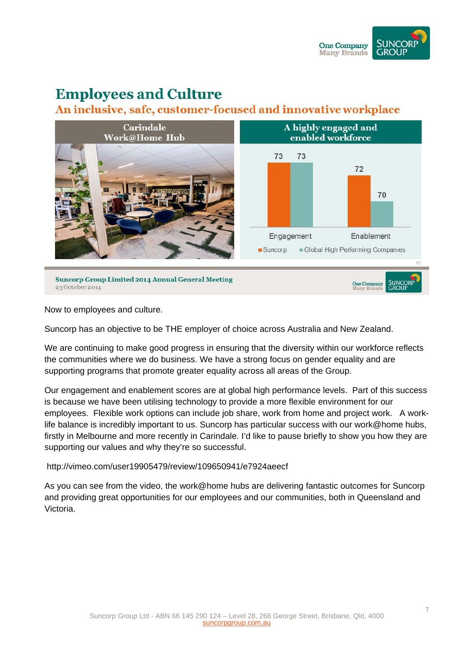

# **Employees and Culture**

An inclusive, safe, customer-focused and innovative workplace



Now to employees and culture.

Suncorp has an objective to be THE employer of choice across Australia and New Zealand.

We are continuing to make good progress in ensuring that the diversity within our workforce reflects the communities where we do business. We have a strong focus on gender equality and are supporting programs that promote greater equality across all areas of the Group.

Our engagement and enablement scores are at global high performance levels. Part of this success is because we have been utilising technology to provide a more flexible environment for our employees. Flexible work options can include job share, work from home and project work. A worklife balance is incredibly important to us. Suncorp has particular success with our work@home hubs, firstly in Melbourne and more recently in Carindale. I'd like to pause briefly to show you how they are supporting our values and why they're so successful.

http://vimeo.com/user19905479/review/109650941/e7924aeecf

As you can see from the video, the work@home hubs are delivering fantastic outcomes for Suncorp and providing great opportunities for our employees and our communities, both in Queensland and Victoria.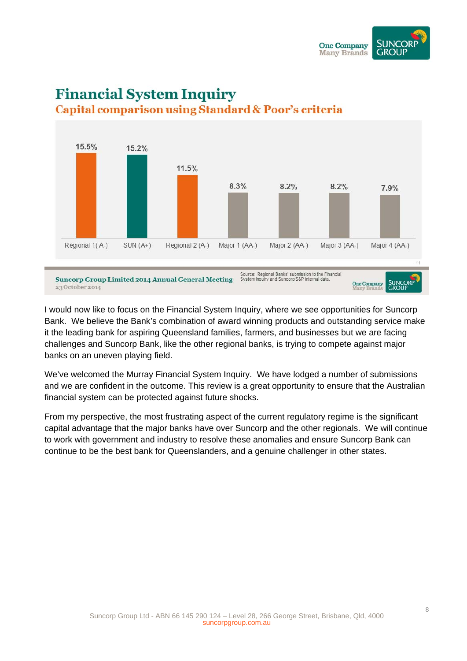



### **Financial System Inquiry** Capital comparison using Standard & Poor's criteria

I would now like to focus on the Financial System Inquiry, where we see opportunities for Suncorp Bank. We believe the Bank's combination of award winning products and outstanding service make it the leading bank for aspiring Queensland families, farmers, and businesses but we are facing challenges and Suncorp Bank, like the other regional banks, is trying to compete against major banks on an uneven playing field.

We've welcomed the Murray Financial System Inquiry. We have lodged a number of submissions and we are confident in the outcome. This review is a great opportunity to ensure that the Australian financial system can be protected against future shocks.

From my perspective, the most frustrating aspect of the current regulatory regime is the significant capital advantage that the major banks have over Suncorp and the other regionals. We will continue to work with government and industry to resolve these anomalies and ensure Suncorp Bank can continue to be the best bank for Queenslanders, and a genuine challenger in other states.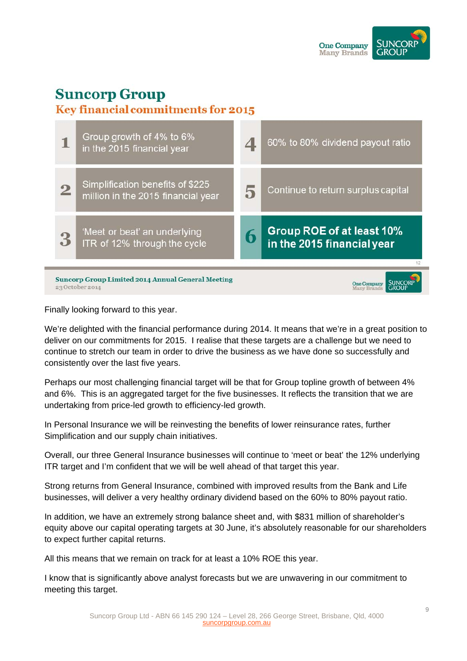

## **Suncorp Group**

#### Key financial commitments for 2015



Finally looking forward to this year.

We're delighted with the financial performance during 2014. It means that we're in a great position to deliver on our commitments for 2015. I realise that these targets are a challenge but we need to continue to stretch our team in order to drive the business as we have done so successfully and consistently over the last five years.

Perhaps our most challenging financial target will be that for Group topline growth of between 4% and 6%. This is an aggregated target for the five businesses. It reflects the transition that we are undertaking from price-led growth to efficiency-led growth.

In Personal Insurance we will be reinvesting the benefits of lower reinsurance rates, further Simplification and our supply chain initiatives.

Overall, our three General Insurance businesses will continue to 'meet or beat' the 12% underlying ITR target and I'm confident that we will be well ahead of that target this year.

Strong returns from General Insurance, combined with improved results from the Bank and Life businesses, will deliver a very healthy ordinary dividend based on the 60% to 80% payout ratio.

In addition, we have an extremely strong balance sheet and, with \$831 million of shareholder's equity above our capital operating targets at 30 June, it's absolutely reasonable for our shareholders to expect further capital returns.

All this means that we remain on track for at least a 10% ROE this year.

I know that is significantly above analyst forecasts but we are unwavering in our commitment to meeting this target.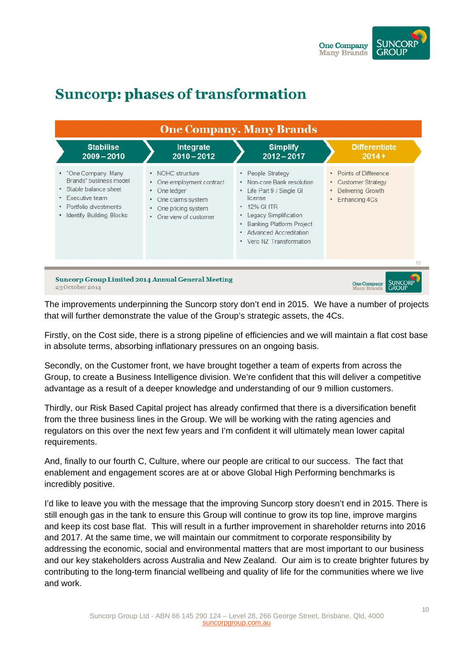

## **Suncorp: phases of transformation**

| Integrate<br>$2010 - 2012$              | <b>Simplify</b>                                                                                                                                                                                                                        | <b>Differentiate</b>                                                                |  |
|-----------------------------------------|----------------------------------------------------------------------------------------------------------------------------------------------------------------------------------------------------------------------------------------|-------------------------------------------------------------------------------------|--|
|                                         | $2012 - 2017$                                                                                                                                                                                                                          | $2014+$                                                                             |  |
| One claims system<br>One pricing system | • People Strategy<br>• Non-core Bank resolution<br>• Life Part 9 / Single GI<br>license<br>$\cdot$ 12% GI ITR<br>Legacy Simplification<br>٠<br><b>Banking Platform Project</b><br>• Advanced Accreditation<br>• Vero NZ Transformation | • Points of Difference<br>• Customer Strategy<br>Delivering Growth<br>Enhancing 4Cs |  |
|                                         | • NOHC structure<br>• One employment contract<br>One ledger<br>One view of customer                                                                                                                                                    |                                                                                     |  |

The improvements underpinning the Suncorp story don't end in 2015. We have a number of projects that will further demonstrate the value of the Group's strategic assets, the 4Cs.

Firstly, on the Cost side, there is a strong pipeline of efficiencies and we will maintain a flat cost base in absolute terms, absorbing inflationary pressures on an ongoing basis.

Secondly, on the Customer front, we have brought together a team of experts from across the Group, to create a Business Intelligence division. We're confident that this will deliver a competitive advantage as a result of a deeper knowledge and understanding of our 9 million customers.

Thirdly, our Risk Based Capital project has already confirmed that there is a diversification benefit from the three business lines in the Group. We will be working with the rating agencies and regulators on this over the next few years and I'm confident it will ultimately mean lower capital requirements.

And, finally to our fourth C, Culture, where our people are critical to our success. The fact that enablement and engagement scores are at or above Global High Performing benchmarks is incredibly positive.

I'd like to leave you with the message that the improving Suncorp story doesn't end in 2015. There is still enough gas in the tank to ensure this Group will continue to grow its top line, improve margins and keep its cost base flat. This will result in a further improvement in shareholder returns into 2016 and 2017. At the same time, we will maintain our commitment to corporate responsibility by addressing the economic, social and environmental matters that are most important to our business and our key stakeholders across Australia and New Zealand. Our aim is to create brighter futures by contributing to the long-term financial wellbeing and quality of life for the communities where we live and work.